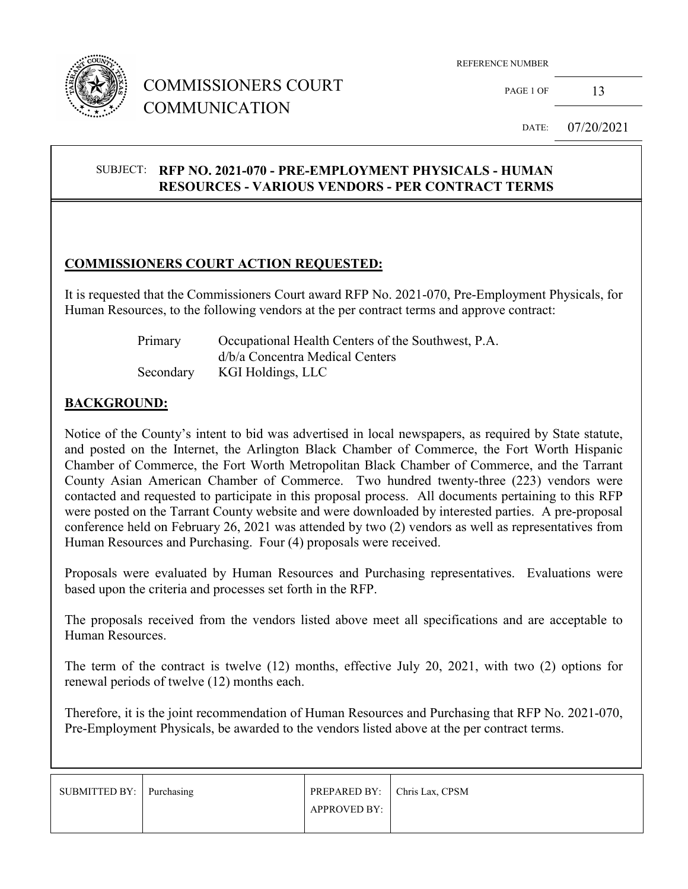

# COMMISSIONERS COURT COMMUNICATION

REFERENCE NUMBER

PAGE 1 OF  $13$ 

DATE: 07/20/2021

### SUBJECT: **RFP NO. 2021-070 - PRE-EMPLOYMENT PHYSICALS - HUMAN RESOURCES - VARIOUS VENDORS - PER CONTRACT TERMS**

#### **COMMISSIONERS COURT ACTION REQUESTED:**

It is requested that the Commissioners Court award RFP No. 2021-070, Pre-Employment Physicals, for Human Resources, to the following vendors at the per contract terms and approve contract:

> Primary Occupational Health Centers of the Southwest, P.A. d/b/a Concentra Medical Centers Secondary KGI Holdings, LLC

#### **BACKGROUND:**

Notice of the County's intent to bid was advertised in local newspapers, as required by State statute, and posted on the Internet, the Arlington Black Chamber of Commerce, the Fort Worth Hispanic Chamber of Commerce, the Fort Worth Metropolitan Black Chamber of Commerce, and the Tarrant County Asian American Chamber of Commerce. Two hundred twenty-three (223) vendors were contacted and requested to participate in this proposal process. All documents pertaining to this RFP were posted on the Tarrant County website and were downloaded by interested parties. A pre-proposal conference held on February 26, 2021 was attended by two (2) vendors as well as representatives from Human Resources and Purchasing. Four (4) proposals were received.

Proposals were evaluated by Human Resources and Purchasing representatives. Evaluations were based upon the criteria and processes set forth in the RFP.

The proposals received from the vendors listed above meet all specifications and are acceptable to Human Resources.

The term of the contract is twelve (12) months, effective July 20, 2021, with two (2) options for renewal periods of twelve (12) months each.

Therefore, it is the joint recommendation of Human Resources and Purchasing that RFP No. 2021-070, Pre-Employment Physicals, be awarded to the vendors listed above at the per contract terms.

| SUBMITTED BY: Purchasing | PREPARED BY: Chris Lax, CPSM |  |
|--------------------------|------------------------------|--|
|                          | <b>APPROVED BY:</b>          |  |